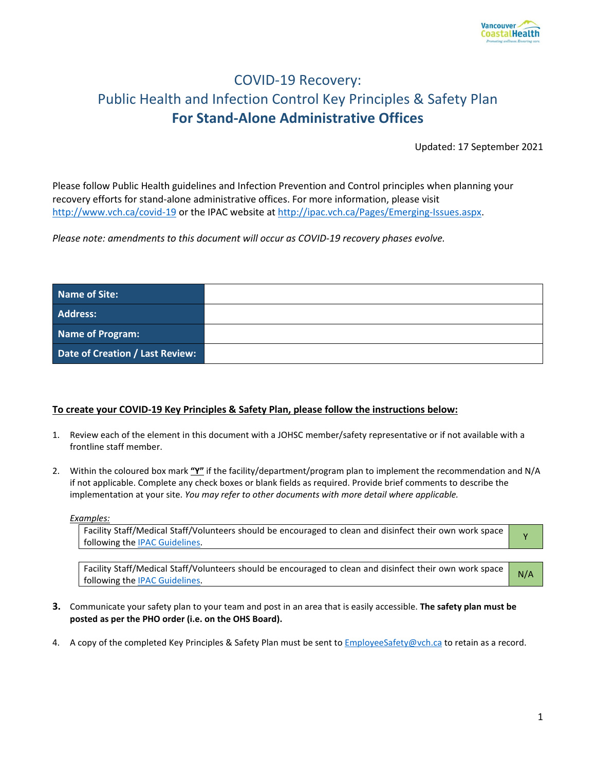

# COVID-19 Recovery: Public Health and Infection Control Key Principles & Safety Plan **For Stand-Alone Administrative Offices**

Updated: 17 September 2021

Please follow Public Health guidelines and Infection Prevention and Control principles when planning your recovery efforts for stand-alone administrative offices. For more information, please visit <http://www.vch.ca/covid-19> or the IPAC website a[t http://ipac.vch.ca/Pages/Emerging-Issues.aspx.](http://ipac.vch.ca/Pages/Emerging-Issues.aspx)

*Please note: amendments to this document will occur as COVID-19 recovery phases evolve.* 

| Name of Site:                   |  |
|---------------------------------|--|
| <b>Address:</b>                 |  |
| Name of Program:                |  |
| Date of Creation / Last Review: |  |

#### **To create your COVID-19 Key Principles & Safety Plan, please follow the instructions below:**

- 1. Review each of the element in this document with a JOHSC member/safety representative or if not available with a frontline staff member.
- 2. Within the coloured box mark **"Y"** if the facility/department/program plan to implement the recommendation and N/A if not applicable. Complete any check boxes or blank fields as required. Provide brief comments to describe the implementation at your site. *You may refer to other documents with more detail where applicable.*

*Examples:* 

Facility Staff/Medical Staff/Volunteers should be encouraged to clean and disinfect their own work space<br>following the <u>IPAC Guidelines</u>.

Facility Staff/Medical Staff/Volunteers should be encouraged to clean and disinfect their own work space ractity start/wieuters start/volunteers should be encouraged to clean and distribute their own work space N/A

- **3.** Communicate your safety plan to your team and post in an area that is easily accessible. **The safety plan must be posted as per the PHO order (i.e. on the OHS Board).**
- 4. A copy of the completed Key Principles & Safety Plan must be sent to **EmployeeSafety@vch.ca** to retain as a record.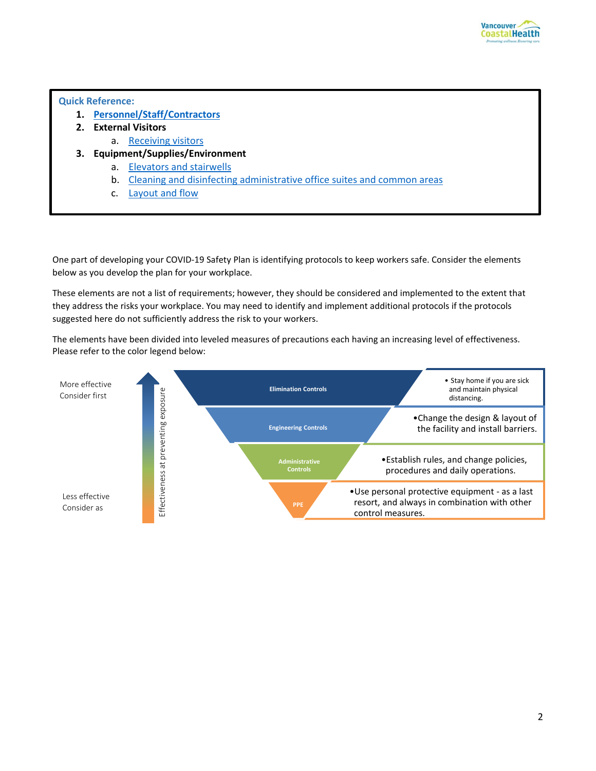

#### **Quick Reference:**

- **1. [Personnel/Staff/Contractors](#page-2-0)**
- **2. External Visitors**
	- a. Receiving visitors
- **3. Equipment/Supplies/Environment** 
	- a. Elevators and stairwells
	- b. Cleaning and disinfecting administrative office suites and common areas
	- c. Layout and flow

One part of developing your COVID-19 Safety Plan is identifying protocols to keep workers safe. Consider the elements below as you develop the plan for your workplace.

These elements are not a list of requirements; however, they should be considered and implemented to the extent that they address the risks your workplace. You may need to identify and implement additional protocols if the protocols suggested here do not sufficiently address the risk to your workers.

The elements have been divided into leveled measures of precautions each having an increasing level of effectiveness. Please refer to the color legend below:

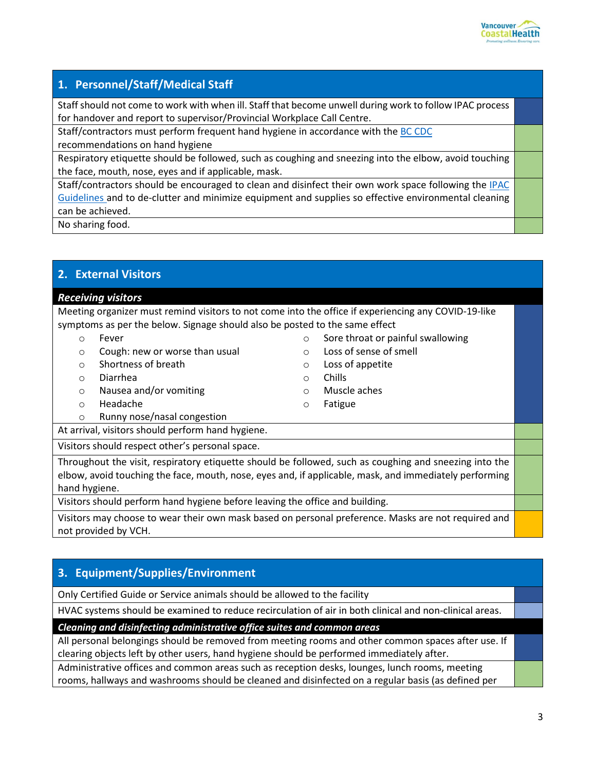

# **1. Personnel/Staff/Medical Staff**

Staff should not come to work with when ill. Staff that become unwell during work to follow IPAC process for handover and report to supervisor/Provincial Workplace Call Centre.

Staff/contractors must perform frequent hand hygiene in accordance with the [BC CDC](http://www.bccdc.ca/health-info/diseases-conditions/covid-19/prevention-risks/hand-washing) recommendations on hand hygiene

Respiratory etiquette should be followed, such as coughing and sneezing into the elbow, avoid touching the face, mouth, nose, eyes and if applicable, mask.

Staff/contractors should be encouraged to clean and disinfect their own work space following th[e IPAC](https://my.vch.ca/news-discussion-site/Documents/COVID-19-Cleaning-Disinfecting-Workspaces.pdf)  [Guidelines](https://my.vch.ca/news-discussion-site/Documents/COVID-19-Cleaning-Disinfecting-Workspaces.pdf) and to de-clutter and minimize equipment and supplies so effective environmental cleaning can be achieved.

No sharing food.

### <span id="page-2-0"></span>**2. External Visitors**

### *Receiving visitors*

Meeting organizer must remind visitors to not come into the office if experiencing any COVID-19-like symptoms as per the below. Signage should also be posted to the same effect

- o Fever
- o Cough: new or worse than usual
- o Shortness of breath
- o Diarrhea
- o Nausea and/or vomiting
- o Headache
- o Runny nose/nasal congestion
- o Sore throat or painful swallowing
- o Loss of sense of smell
- o Loss of appetite
- o Chills
- o Muscle aches
- o Fatigue

At arrival, visitors should perform hand hygiene. Visitors should respect other's personal space.

Throughout the visit, respiratory etiquette should be followed, such as coughing and sneezing into the elbow, avoid touching the face, mouth, nose, eyes and, if applicable, mask, and immediately performing hand hygiene.

Visitors should perform hand hygiene before leaving the office and building.

Visitors may choose to wear their own mask based on personal preference. Masks are not required and not provided by VCH.

# **3. Equipment/Supplies/Environment**

Only Certified Guide or Service animals should be allowed to the facility

HVAC systems should be examined to reduce recirculation of air in both clinical and non-clinical areas.

*Cleaning and disinfecting administrative office suites and common areas*

All personal belongings should be removed from meeting rooms and other common spaces after use. If clearing objects left by other users, hand hygiene should be performed immediately after.

Administrative offices and common areas such as reception desks, lounges, lunch rooms, meeting rooms, hallways and washrooms should be cleaned and disinfected on a regular basis (as defined per